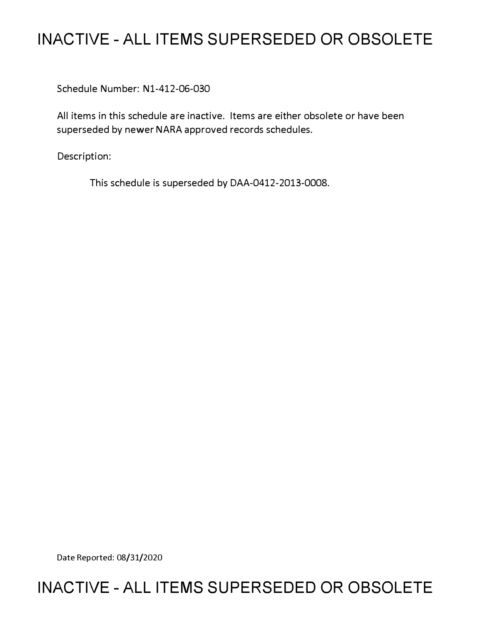# **INACTIVE - ALL ITEMS SUPERSEDED OR OBSOLETE**

Schedule Number: Nl-412-06-030

All items in this schedule are inactive. Items are either obsolete or have been superseded by newer NARA approved records schedules.

Description:

This schedule is superseded by DAA-0412-2013-0008.

Date Reported: 08/31/2020

# **INACTIVE - ALL ITEMS SUPERSEDED OR OBSOLETE**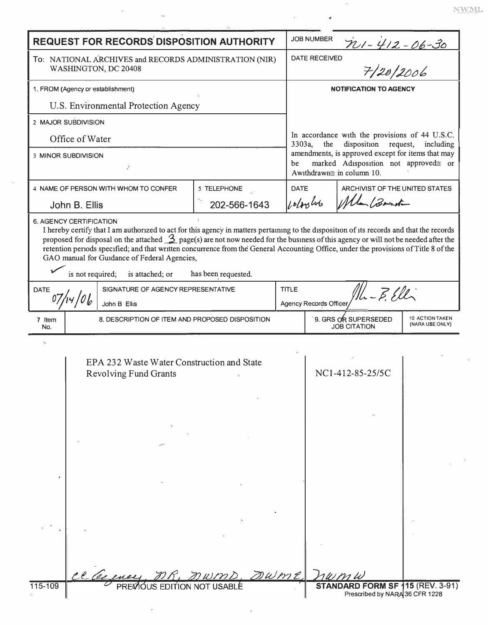| <b>REQUEST FOR RECORDS DISPOSITION AUTHORITY</b>                                                                                                                                                                                                                                                                                                                                                                                                                                                                                                  |               |                                                                            |              |              | <b>JOB NUMBER</b>                                                                                                            | $701 - 412 - 06 - 30$                       |                                    |  |
|---------------------------------------------------------------------------------------------------------------------------------------------------------------------------------------------------------------------------------------------------------------------------------------------------------------------------------------------------------------------------------------------------------------------------------------------------------------------------------------------------------------------------------------------------|---------------|----------------------------------------------------------------------------|--------------|--------------|------------------------------------------------------------------------------------------------------------------------------|---------------------------------------------|------------------------------------|--|
| To: NATIONAL ARCHIVES and RECORDS ADMINISTRATION (NIR)<br>WASHINGTON, DC 20408                                                                                                                                                                                                                                                                                                                                                                                                                                                                    |               |                                                                            |              |              | 7/20/2006<br><b>DATE RECEIVED</b>                                                                                            |                                             |                                    |  |
| 1. FROM (Agency or establishment)                                                                                                                                                                                                                                                                                                                                                                                                                                                                                                                 |               |                                                                            |              |              | <b>NOTIFICATION TO AGENCY</b>                                                                                                |                                             |                                    |  |
| U.S. Environmental Protection Agency                                                                                                                                                                                                                                                                                                                                                                                                                                                                                                              |               |                                                                            |              |              |                                                                                                                              |                                             |                                    |  |
| 2 MAJOR SUBDIVISION                                                                                                                                                                                                                                                                                                                                                                                                                                                                                                                               |               |                                                                            |              |              |                                                                                                                              |                                             |                                    |  |
| Office of Water                                                                                                                                                                                                                                                                                                                                                                                                                                                                                                                                   |               |                                                                            |              |              | In accordance with the provisions of 44 U.S.C.<br>disposition<br>3303a,<br>the<br>request,<br>including                      |                                             |                                    |  |
| <b>3 MINOR SUBDIVISION</b>                                                                                                                                                                                                                                                                                                                                                                                                                                                                                                                        |               |                                                                            |              |              | amendments, is approved except for items that may<br>marked Adisposition not approved≅ or<br>be<br>Awithdrawn≅ in column 10. |                                             |                                    |  |
| 4 NAME OF PERSON WITH WHOM TO CONFER<br>5 TELEPHONE                                                                                                                                                                                                                                                                                                                                                                                                                                                                                               |               |                                                                            |              |              | <b>DATE</b><br>ARCHIVIST OF THE UNITED STATES                                                                                |                                             |                                    |  |
|                                                                                                                                                                                                                                                                                                                                                                                                                                                                                                                                                   | John B. Ellis |                                                                            | 202-566-1643 |              | polos los<br>Un Bout                                                                                                         |                                             |                                    |  |
| I hereby certify that I am authorized to act for this agency in matters pertaining to the disposition of its records and that the records<br>proposed for disposal on the attached $\frac{3}{2}$ page(s) are not now needed for the business of this agency or will not be needed after the<br>retention periods specified; and that written concurrence from the General Accounting Office, under the provisions of Title 8 of the<br>GAO manual for Guidance of Federal Agencies,<br>is not required;<br>has been requested.<br>is attached; or |               |                                                                            |              |              |                                                                                                                              |                                             |                                    |  |
| SIGNATURE OF AGENCY REPRESENTATIVE<br><b>DATE</b>                                                                                                                                                                                                                                                                                                                                                                                                                                                                                                 |               |                                                                            |              | <b>TITLE</b> | $11L - E. EIL$                                                                                                               |                                             |                                    |  |
|                                                                                                                                                                                                                                                                                                                                                                                                                                                                                                                                                   |               | John B Ellis                                                               |              |              | Agency Records Officer                                                                                                       |                                             |                                    |  |
| 7 Item<br>No.                                                                                                                                                                                                                                                                                                                                                                                                                                                                                                                                     |               | 8. DESCRIPTION OF ITEM AND PROPOSED DISPOSITION                            |              |              |                                                                                                                              | 9. GRS OR SUPERSEDED<br><b>JOB CITATION</b> | 10 ACTION TAKEN<br>(NARA USE ONLY) |  |
|                                                                                                                                                                                                                                                                                                                                                                                                                                                                                                                                                   |               | EPA 232 Waste Water Construction and State<br><b>Revolving Fund Grants</b> |              |              |                                                                                                                              | NC1-412-85-25/5C                            |                                    |  |
|                                                                                                                                                                                                                                                                                                                                                                                                                                                                                                                                                   |               |                                                                            |              |              |                                                                                                                              |                                             |                                    |  |
|                                                                                                                                                                                                                                                                                                                                                                                                                                                                                                                                                   |               |                                                                            | DWME,        |              |                                                                                                                              | STANDARD FORM SF 115 (REV. 3-91)            |                                    |  |
| 115-109                                                                                                                                                                                                                                                                                                                                                                                                                                                                                                                                           |               |                                                                            |              |              |                                                                                                                              | Prescribed by NARA 36 CFR 1228              |                                    |  |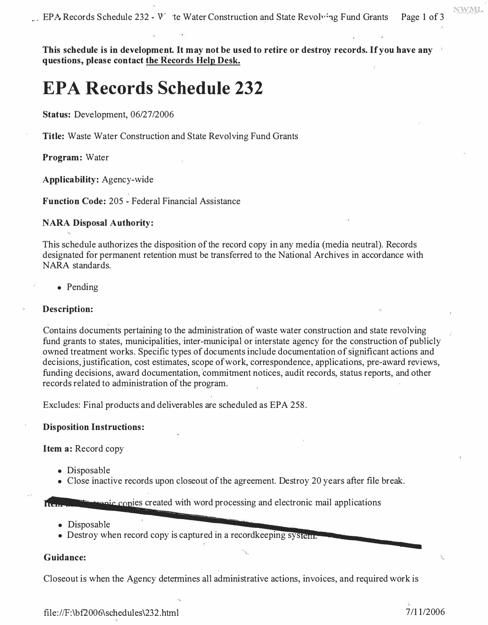$\mu$ . EPA Records Schedule 232 - V<sup>-</sup> te Water Construction and State Revolving Fund Grants Page 1 of 3

**This schedule is in development. It may not be used to retire or destroy records. If you have any questions, please contact the'Records Help Desk.** 

## **EPA Records Schedule 232**

**Status:** Development, 06/27/2006

**Title:** Waste Water Construction and State Revolving Fund Grants

**Program:** Water

**Applicability:** Agency-wide

**Function Code:** 205 - Federal Financial Assistance

#### **NARA Disposal Authority:**

This schedule authorizes the disposition of the record copy in any media (media neutral). Records designated for permanent retention must be transferred to the National Archives in accordance with NARA standards.

• Pending

#### **Description:**

Contains documents pertaining to the administration of waste water construction and state revolving fund grants to states, municipalities, inter-municipal or interstate agency for the construction of publicly owned treatment works. Specific types of documents include documentation of significant actions and decisions, justification, cost estimates, scope of work, correspondence, applications, pre-award reviews, funding decisions, award documentation, 'commitment notices, audit records, status reports, and other records related to administration of the program.

Excludes: Final products and deliverables are scheduled as EPA 258.

#### **Disposition Instructions:**

**Item a:** Record copy

- Disposable
- Close inactive records upon closeout of the agreement. Destroy 20 years after file break.

**it consists created with word processing and electronic mail applications** 

- Disposable
- Destroy when record copy is captured in a record keeping system.

#### **Guidance:**

Closeout is when the Agency determines all administrative actions, invoices, and required work is

**NWML**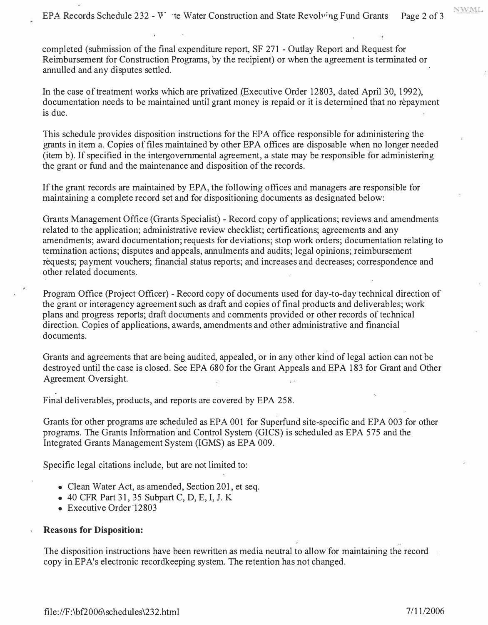EPA Records Schedule 232 - V<sup>\*</sup> te Water Construction and State Revolving Fund Grants Page 2 of 3

completed (submission of the final expenditure report, SF 271 - Outlay Report and Request for Reimbursement for Construction Programs, by the recipient) or when the agreement is terminated or annulled and any disputes settled.

In the case of treatment works which are privatized (Executive Order 12803, dated April 30, 1992), documentation needs to be maintained until grant money is repaid or it is determined that no repayment is due.

This schedule provides disposition instructions for the EPA office responsible for administering the grants in item a. Copies of files maintained by other EPA offices are disposable when no longer needed (item b). If specified in the intergovernmental agreement, a state may be responsible for administering the grant or fund and the maintenance and disposition of the records.

If the grant records are maintained by EPA, the following offices and managers are responsible for maintaining a complete record set and for dispositioning documents as designated below:

Grants Management Office (Grants Specialist) - Record copy of applications; reviews and amendments related to the application; administrative review checklist; certifications; agreements and any amendments; award documentation; requests for deviations; stop work orders; documentation relating to termination actions; disputes and appeals, annulments and audits; legal opinions; reimbursement réquests; payment vouchers; financial status reports; and increases and decreases; correspondence and other related documents.

Program Office (Project Officer) - Record copy of documents used for day-to-day technical direction of the grant or interagency agreement such as draft and copies of final products and deliverables; work plans and progress reports; draft documents and comments provided or other records of technical direction. Copies of applications, awards, amendments and other administrative and financial documents.

Grants and agreements that are being audited, appealed, or in any other kind of legal action can not be destroyed until the case is closed. See EPA 680 for the Grant Appeals and EPA 183 for Grant and Other Agreement Oversight.

Final deliverables, products, and reports are covered by EPA 258.

Grants for other programs are scheduled as EPA 001 for Superfund site-specific and EPA 003 for other programs. The Grants Information'and Control System (GICS) is scheduled as EPA 575 and the Integrated Grants Management System (IGMS) as EPA 009.

Specific legal citations include, but are not limited to:

- Clean Water Act, as amended, Section 201, et seq.
- 40 CFR Part 31, 35 Subpart C, D, E, I, J. K
- Executive Order 12803

#### **Reasons for Disposition:**

The disposition instructions have been rewritten as media neutral to allow for maintaining the record copy in EPA's electronic recordkeeping system. The retention has not changed.